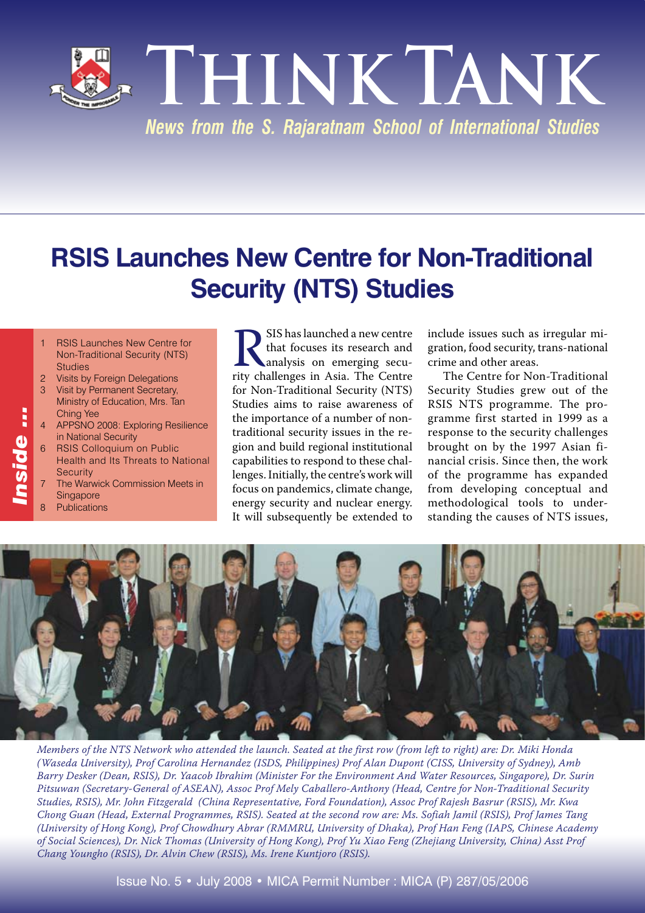**Think Tank** *News from the S. Rajaratnam School of International Studies*

## **RSIS Launches New Centre for Non-Traditional Security (NTS) Studies**

- **RSIS Launches New Centre for** Non-Traditional Security (NTS) Studies
- 2 Visits by Foreign Delegations 3 Visit by Permanent Secretary,
- Ministry of Education, Mrs. Tan Ching Yee
- 4 APPSNO 2008: Exploring Resilience in National Security
- **RSIS Colloquium on Public** Health and Its Threats to National **Security**
- The Warwick Commission Meets in **Singapore**
- **Publications**

*Inside …*

nside ...

**RSIS** has launched a new centre that focuses its research and analysis on emerging security challenges in Asia. The Centre that focuses its research and analysis on emerging secufor Non-Traditional Security (NTS) Studies aims to raise awareness of the importance of a number of nontraditional security issues in the region and build regional institutional capabilities to respond to these challenges. Initially, the centre's work will focus on pandemics, climate change, energy security and nuclear energy. It will subsequently be extended to

include issues such as irregular migration, food security, trans-national crime and other areas.

The Centre for Non-Traditional Security Studies grew out of the RSIS NTS programme. The programme first started in 1999 as a response to the security challenges brought on by the 1997 Asian financial crisis. Since then, the work of the programme has expanded from developing conceptual and methodological tools to understanding the causes of NTS issues,



*Members of the NTS Network who attended the launch. Seated at the first row (from left to right) are: Dr. Miki Honda (Waseda University), Prof Carolina Hernandez (ISDS, Philippines) Prof Alan Dupont (CISS, University of Sydney), Amb Barry Desker (Dean, RSIS), Dr. Yaacob Ibrahim (Minister For the Environment And Water Resources, Singapore), Dr. Surin Pitsuwan (Secretary-General of ASEAN), Assoc Prof Mely Caballero-Anthony (Head, Centre for Non-Traditional Security Studies, RSIS), Mr. John Fitzgerald (China Representative, Ford Foundation), Assoc Prof Rajesh Basrur (RSIS), Mr. Kwa Chong Guan (Head, External Programmes, RSIS). Seated at the second row are: Ms. Sofiah Jamil (RSIS), Prof James Tang (University of Hong Kong), Prof Chowdhury Abrar (RMMRU, University of Dhaka), Prof Han Feng (IAPS, Chinese Academy of Social Sciences), Dr. Nick Thomas (University of Hong Kong), Prof Yu Xiao Feng (Zhejiang University, China) Asst Prof Chang Youngho (RSIS), Dr. Alvin Chew (RSIS), Ms. Irene Kuntjoro (RSIS).*

Issue No. 5 • July 2008 • MICA Permit Number : MICA (P) 287/05/2006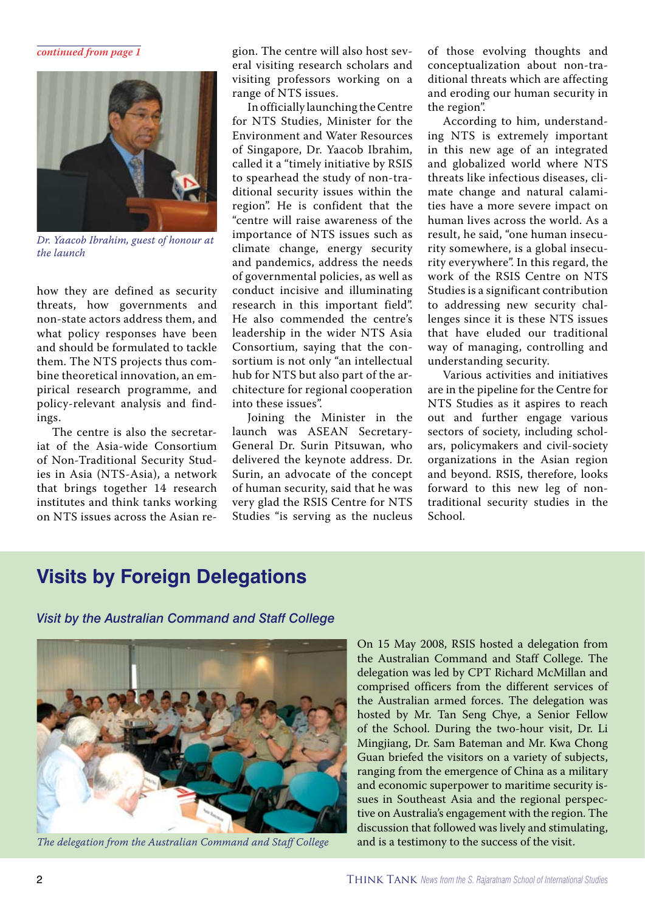#### *continued from page 1*



*Dr. Yaacob Ibrahim, guest of honour at the launch*

how they are defined as security threats, how governments and non-state actors address them, and what policy responses have been and should be formulated to tackle them. The NTS projects thus combine theoretical innovation, an empirical research programme, and policy-relevant analysis and findings.

The centre is also the secretariat of the Asia-wide Consortium of Non-Traditional Security Studies in Asia (NTS-Asia), a network that brings together 14 research institutes and think tanks working on NTS issues across the Asian region. The centre will also host several visiting research scholars and visiting professors working on a range of NTS issues.

In officially launching the Centre for NTS Studies, Minister for the Environment and Water Resources of Singapore, Dr. Yaacob Ibrahim, called it a "timely initiative by RSIS to spearhead the study of non-traditional security issues within the region". He is confident that the "centre will raise awareness of the importance of NTS issues such as climate change, energy security and pandemics, address the needs of governmental policies, as well as conduct incisive and illuminating research in this important field". He also commended the centre's leadership in the wider NTS Asia Consortium, saying that the consortium is not only "an intellectual hub for NTS but also part of the architecture for regional cooperation into these issues".

Joining the Minister in the launch was ASEAN Secretary-General Dr. Surin Pitsuwan, who delivered the keynote address. Dr. Surin, an advocate of the concept of human security, said that he was very glad the RSIS Centre for NTS Studies "is serving as the nucleus

of those evolving thoughts and conceptualization about non-traditional threats which are affecting and eroding our human security in the region".

According to him, understanding NTS is extremely important in this new age of an integrated and globalized world where NTS threats like infectious diseases, climate change and natural calamities have a more severe impact on human lives across the world. As a result, he said, "one human insecurity somewhere, is a global insecurity everywhere". In this regard, the work of the RSIS Centre on NTS Studies is a significant contribution to addressing new security challenges since it is these NTS issues that have eluded our traditional way of managing, controlling and understanding security.

Various activities and initiatives are in the pipeline for the Centre for NTS Studies as it aspires to reach out and further engage various sectors of society, including scholars, policymakers and civil-society organizations in the Asian region and beyond. RSIS, therefore, looks forward to this new leg of nontraditional security studies in the School.

### **Visits by Foreign Delegations**

*Visit by the Australian Command and Staff College*



*The delegation from the Australian Command and Staff College*

On 15 May 2008, RSIS hosted a delegation from the Australian Command and Staff College. The delegation was led by CPT Richard McMillan and comprised officers from the different services of the Australian armed forces. The delegation was hosted by Mr. Tan Seng Chye, a Senior Fellow of the School. During the two-hour visit, Dr. Li Mingjiang, Dr. Sam Bateman and Mr. Kwa Chong Guan briefed the visitors on a variety of subjects, ranging from the emergence of China as a military and economic superpower to maritime security issues in Southeast Asia and the regional perspective on Australia's engagement with the region. The discussion that followed was lively and stimulating, and is a testimony to the success of the visit.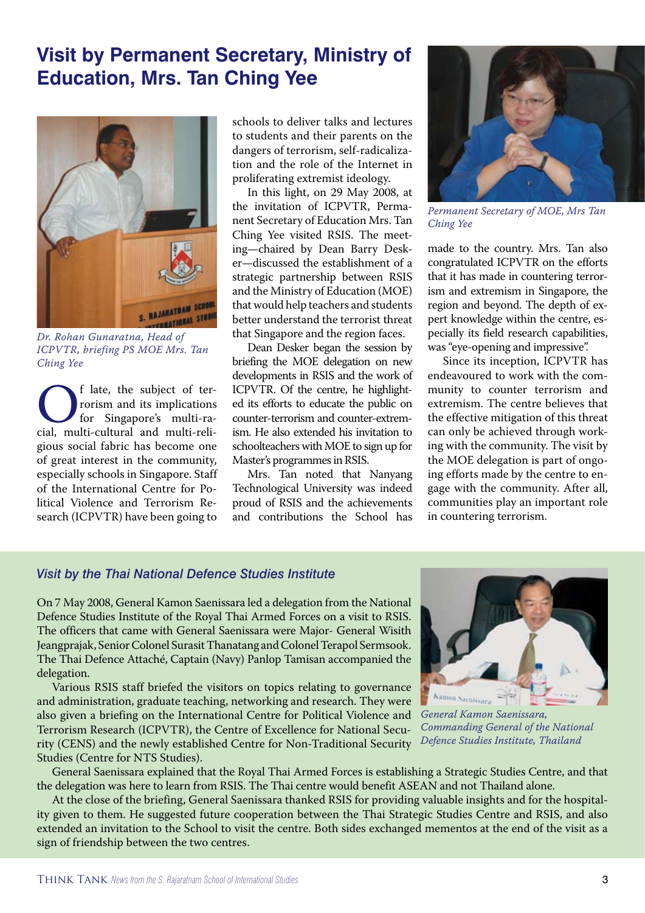### **Visit by Permanent Secretary, Ministry of Education, Mrs. Tan Ching Yee**



*Dr. Rohan Gunaratna, Head of ICPVTR, briefing PS MOE Mrs. Tan Ching Yee*

Christian and its implications<br>for Singapore's multi-ra-<br>cial, multi-cultural and multi-relirorism and its implications for Singapore's multi-ragious social fabric has become one of great interest in the community, especially schools in Singapore. Staff of the International Centre for Political Violence and Terrorism Research (ICPVTR) have been going to

schools to deliver talks and lectures to students and their parents on the dangers of terrorism, self-radicalization and the role of the Internet in proliferating extremist ideology.

In this light, on 29 May 2008, at the invitation of ICPVTR, Permanent Secretary of Education Mrs. Tan Ching Yee visited RSIS. The meeting—chaired by Dean Barry Desker—discussed the establishment of a strategic partnership between RSIS and the Ministry of Education (MOE) that would help teachers and students better understand the terrorist threat that Singapore and the region faces.

Dean Desker began the session by briefing the MOE delegation on new developments in RSIS and the work of ICPVTR. Of the centre, he highlighted its efforts to educate the public on counter-terrorism and counter-extremism. He also extended his invitation to schoolteachers with MOE to sign up for Master's programmes in RSIS.

Mrs. Tan noted that Nanyang Technological University was indeed proud of RSIS and the achievements and contributions the School has



*Permanent Secretary of MOE, Mrs Tan Ching Yee*

made to the country. Mrs. Tan also congratulated ICPVTR on the efforts that it has made in countering terrorism and extremism in Singapore, the region and beyond. The depth of expert knowledge within the centre, especially its field research capabilities, was "eye-opening and impressive".

Since its inception, ICPVTR has endeavoured to work with the community to counter terrorism and extremism. The centre believes that the effective mitigation of this threat can only be achieved through working with the community. The visit by the MOE delegation is part of ongoing efforts made by the centre to engage with the community. After all, communities play an important role in countering terrorism.

### *Visit by the Thai National Defence Studies Institute*

On 7 May 2008, General Kamon Saenissara led a delegation from the National Defence Studies Institute of the Royal Thai Armed Forces on a visit to RSIS. The officers that came with General Saenissara were Major- General Wisith Jeangprajak, Senior Colonel Surasit Thanatang and Colonel Terapol Sermsook. The Thai Defence Attaché, Captain (Navy) Panlop Tamisan accompanied the delegation.

Various RSIS staff briefed the visitors on topics relating to governance and administration, graduate teaching, networking and research. They were also given a briefing on the International Centre for Political Violence and Terrorism Research (ICPVTR), the Centre of Excellence for National Security (CENS) and the newly established Centre for Non-Traditional Security Studies (Centre for NTS Studies).

![](_page_2_Picture_15.jpeg)

*General Kamon Saenissara, Commanding General of the National Defence Studies Institute, Thailand*

General Saenissara explained that the Royal Thai Armed Forces is establishing a Strategic Studies Centre, and that the delegation was here to learn from RSIS. The Thai centre would benefit ASEAN and not Thailand alone.

At the close of the briefing, General Saenissara thanked RSIS for providing valuable insights and for the hospitality given to them. He suggested future cooperation between the Thai Strategic Studies Centre and RSIS, and also extended an invitation to the School to visit the centre. Both sides exchanged mementos at the end of the visit as a sign of friendship between the two centres.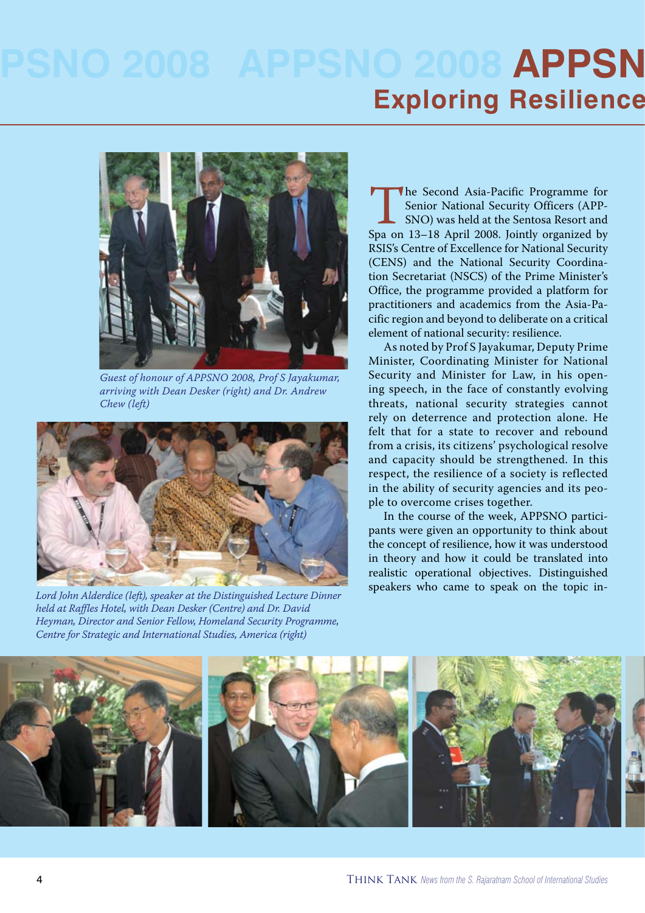# **008 APPSN Exploring Resilience**

![](_page_3_Picture_1.jpeg)

*Guest of honour of APPSNO 2008, Prof S Jayakumar, arriving with Dean Desker (right) and Dr. Andrew Chew (left)*

![](_page_3_Picture_3.jpeg)

Lord John Alderdice (left), speaker at the Distinguished Lecture Dinner *held at Raffles Hotel, with Dean Desker (Centre) and Dr. David Heyman, Director and Senior Fellow, Homeland Security Programme, Centre for Strategic and International Studies, America (right)*

The Second Asia-Pacific Programme for<br>
Second Mational Security Officers (APP-<br>
SNO) was held at the Sentosa Resort and<br>
Spa on 13–18 April 2008. Jointly organized by Senior National Security Officers (APP-SNO) was held at the Sentosa Resort and RSIS's Centre of Excellence for National Security (CENS) and the National Security Coordination Secretariat (NSCS) of the Prime Minister's Office, the programme provided a platform for practitioners and academics from the Asia-Pacific region and beyond to deliberate on a critical element of national security: resilience.

As noted by Prof S Jayakumar, Deputy Prime Minister, Coordinating Minister for National Security and Minister for Law, in his opening speech, in the face of constantly evolving threats, national security strategies cannot rely on deterrence and protection alone. He felt that for a state to recover and rebound from a crisis, its citizens' psychological resolve and capacity should be strengthened. In this respect, the resilience of a society is reflected in the ability of security agencies and its people to overcome crises together.

In the course of the week, APPSNO participants were given an opportunity to think about the concept of resilience, how it was understood in theory and how it could be translated into realistic operational objectives. Distinguished speakers who came to speak on the topic in-

![](_page_3_Picture_8.jpeg)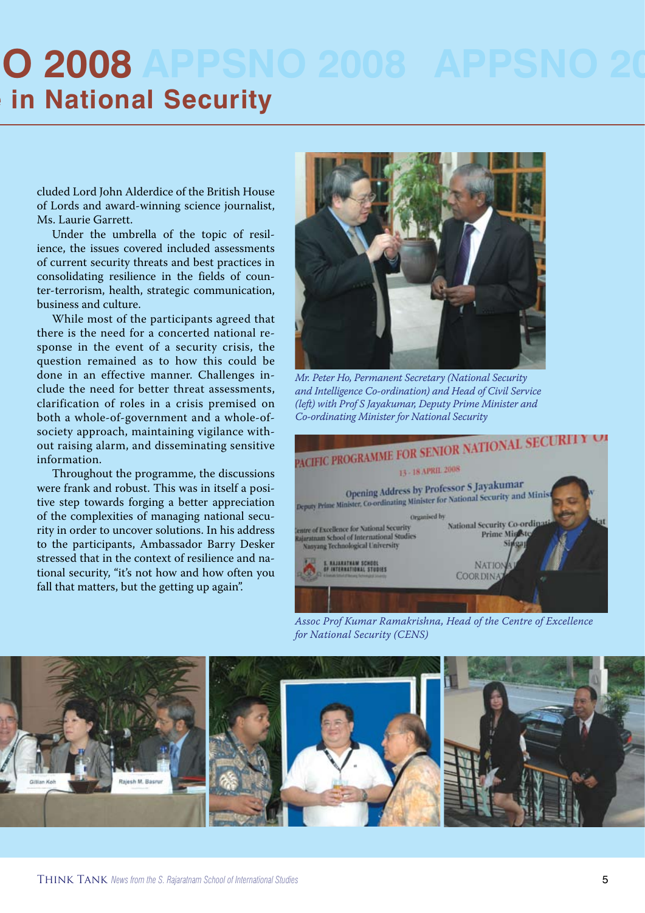# **APPSNO 2008 Ein National Security**

cluded Lord John Alderdice of the British House of Lords and award-winning science journalist, Ms. Laurie Garrett.

Under the umbrella of the topic of resilience, the issues covered included assessments of current security threats and best practices in consolidating resilience in the fields of counter-terrorism, health, strategic communication, business and culture.

While most of the participants agreed that there is the need for a concerted national response in the event of a security crisis, the question remained as to how this could be done in an effective manner. Challenges include the need for better threat assessments, clarification of roles in a crisis premised on both a whole-of-government and a whole-ofsociety approach, maintaining vigilance without raising alarm, and disseminating sensitive information.

Throughout the programme, the discussions were frank and robust. This was in itself a positive step towards forging a better appreciation of the complexities of managing national security in order to uncover solutions. In his address to the participants, Ambassador Barry Desker stressed that in the context of resilience and national security, "it's not how and how often you fall that matters, but the getting up again".

![](_page_4_Picture_5.jpeg)

*Mr. Peter Ho, Permanent Secretary (National Security and Intelligence Co-ordination) and Head of Civil Service (left) with Prof S Jayakumar, Deputy Prime Minister and* 

![](_page_4_Picture_7.jpeg)

*Assoc Prof Kumar Ramakrishna, Head of the Centre of Excellence for National Security (CENS)*

![](_page_4_Picture_9.jpeg)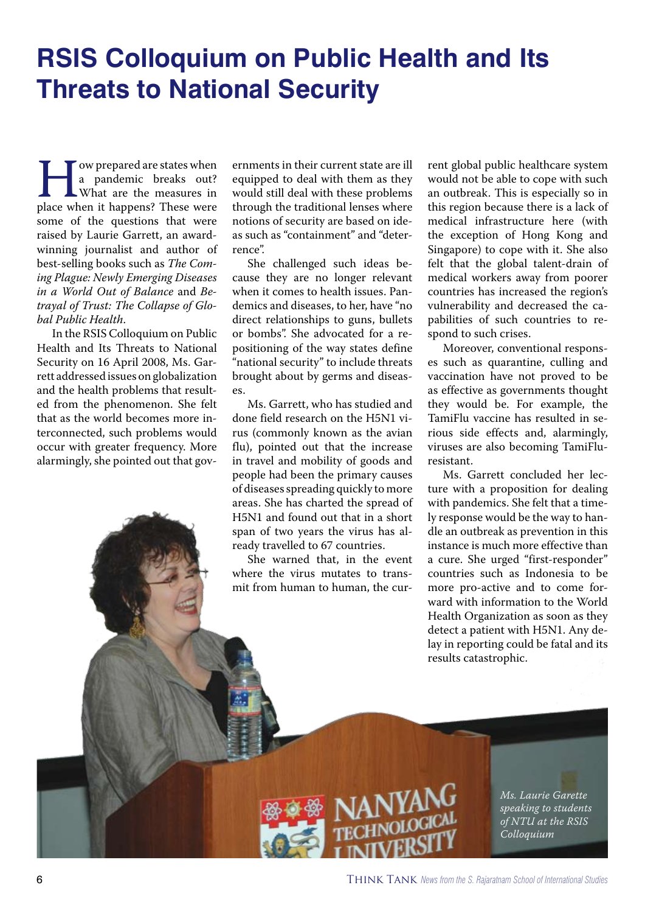### **RSIS Colloquium on Public Health and Its Threats to National Security**

**Form** a pandemic breaks out?<br>
What are the measures in<br>
place when it happens? These were a pandemic breaks out? What are the measures in some of the questions that were raised by Laurie Garrett, an awardwinning journalist and author of best-selling books such as *The Coming Plague: Newly Emerging Diseases in a World Out of Balance* and *Betrayal of Trust: The Collapse of Global Public Health*.

In the RSIS Colloquium on Public Health and Its Threats to National Security on 16 April 2008, Ms. Garrett addressed issues on globalization and the health problems that resulted from the phenomenon. She felt that as the world becomes more interconnected, such problems would occur with greater frequency. More alarmingly, she pointed out that governments in their current state are ill equipped to deal with them as they would still deal with these problems through the traditional lenses where notions of security are based on ideas such as "containment" and "deterrence".

She challenged such ideas because they are no longer relevant when it comes to health issues. Pandemics and diseases, to her, have "no direct relationships to guns, bullets or bombs". She advocated for a repositioning of the way states define "national security" to include threats brought about by germs and diseases.

Ms. Garrett, who has studied and done field research on the H5N1 virus (commonly known as the avian flu), pointed out that the increase in travel and mobility of goods and people had been the primary causes of diseases spreading quickly to more areas. She has charted the spread of H5N1 and found out that in a short span of two years the virus has already travelled to 67 countries.

She warned that, in the event where the virus mutates to transmit from human to human, the current global public healthcare system would not be able to cope with such an outbreak. This is especially so in this region because there is a lack of medical infrastructure here (with the exception of Hong Kong and Singapore) to cope with it. She also felt that the global talent-drain of medical workers away from poorer countries has increased the region's vulnerability and decreased the capabilities of such countries to respond to such crises.

Moreover, conventional responses such as quarantine, culling and vaccination have not proved to be as effective as governments thought they would be. For example, the TamiFlu vaccine has resulted in serious side effects and, alarmingly, viruses are also becoming TamiFluresistant.

Ms. Garrett concluded her lecture with a proposition for dealing with pandemics. She felt that a timely response would be the way to handle an outbreak as prevention in this instance is much more effective than a cure. She urged "first-responder" countries such as Indonesia to be more pro-active and to come forward with information to the World Health Organization as soon as they detect a patient with H5N1. Any delay in reporting could be fatal and its results catastrophic.

> *Ms. Laurie Garette speaking to students of NTU at the RSIS Colloquium*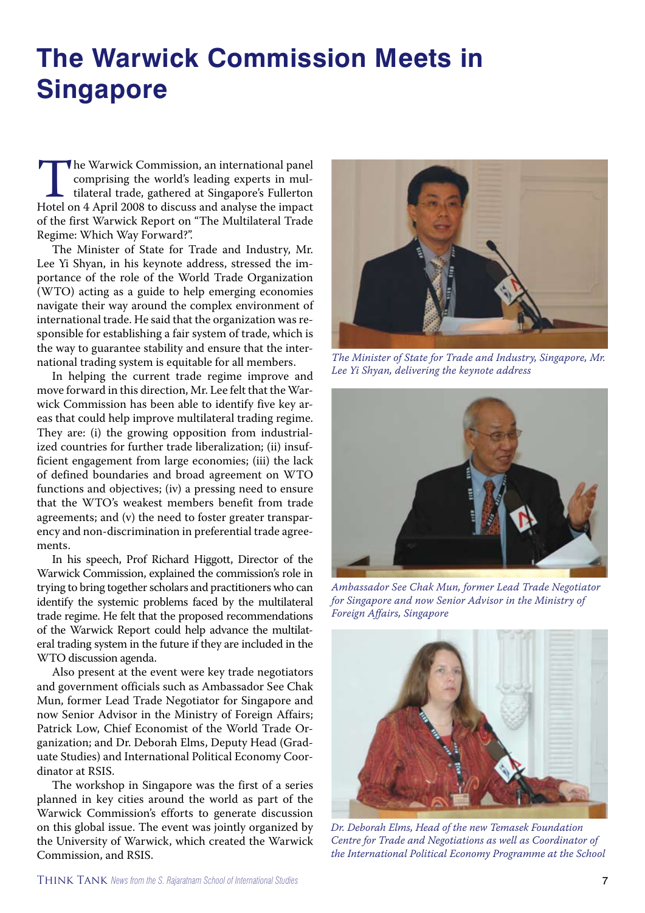## **The Warwick Commission Meets in Singapore**

The Warwick Commission, an international panel<br>
comprising the world's leading experts in mul-<br>
tilateral trade, gathered at Singapore's Fullerton<br>
Hotel on 4 April 2008 to discuss and analyse the impact comprising the world's leading experts in multilateral trade, gathered at Singapore's Fullerton of the first Warwick Report on "The Multilateral Trade Regime: Which Way Forward?".

The Minister of State for Trade and Industry, Mr. Lee Yi Shyan, in his keynote address, stressed the importance of the role of the World Trade Organization (WTO) acting as a guide to help emerging economies navigate their way around the complex environment of international trade. He said that the organization was responsible for establishing a fair system of trade, which is the way to guarantee stability and ensure that the international trading system is equitable for all members.

In helping the current trade regime improve and move forward in this direction, Mr. Lee felt that the Warwick Commission has been able to identify five key areas that could help improve multilateral trading regime. They are: (i) the growing opposition from industrialized countries for further trade liberalization; (ii) insufficient engagement from large economies; (iii) the lack of defined boundaries and broad agreement on WTO functions and objectives; (iv) a pressing need to ensure that the WTO's weakest members benefit from trade agreements; and (v) the need to foster greater transparency and non-discrimination in preferential trade agreements.

In his speech, Prof Richard Higgott, Director of the Warwick Commission, explained the commission's role in trying to bring together scholars and practitioners who can identify the systemic problems faced by the multilateral trade regime. He felt that the proposed recommendations of the Warwick Report could help advance the multilateral trading system in the future if they are included in the WTO discussion agenda.

Also present at the event were key trade negotiators and government officials such as Ambassador See Chak Mun, former Lead Trade Negotiator for Singapore and now Senior Advisor in the Ministry of Foreign Affairs; Patrick Low, Chief Economist of the World Trade Organization; and Dr. Deborah Elms, Deputy Head (Graduate Studies) and International Political Economy Coordinator at RSIS.

The workshop in Singapore was the first of a series planned in key cities around the world as part of the Warwick Commission's efforts to generate discussion on this global issue. The event was jointly organized by the University of Warwick, which created the Warwick Commission, and RSIS.

![](_page_6_Picture_7.jpeg)

*The Minister of State for Trade and Industry, Singapore, Mr. Lee Yi Shyan, delivering the keynote address*

![](_page_6_Picture_9.jpeg)

*Ambassador See Chak Mun, former Lead Trade Negotiator for Singapore and now Senior Advisor in the Ministry of Foreign Affairs, Singapore*

![](_page_6_Picture_11.jpeg)

*Dr. Deborah Elms, Head of the new Temasek Foundation Centre for Trade and Negotiations as well as Coordinator of the International Political Economy Programme at the School*